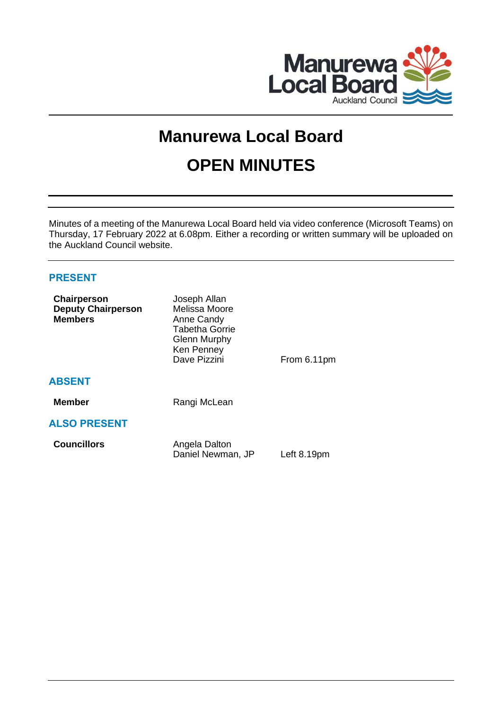

# **Manurewa Local Board OPEN MINUTES**

Minutes of a meeting of the Manurewa Local Board held via video conference (Microsoft Teams) on Thursday, 17 February 2022 at 6.08pm. Either a recording or written summary will be uploaded on the Auckland Council website.

# **PRESENT**

| Chairperson<br><b>Deputy Chairperson</b><br><b>Members</b> | Joseph Allan<br>Melissa Moore<br>Anne Candy<br><b>Tabetha Gorrie</b><br><b>Glenn Murphy</b><br>Ken Penney<br>Dave Pizzini | From 6.11pm |
|------------------------------------------------------------|---------------------------------------------------------------------------------------------------------------------------|-------------|
| <b>ABSENT</b>                                              |                                                                                                                           |             |
| <b>Member</b>                                              | Rangi McLean                                                                                                              |             |
| <b>ALSO PRESENT</b>                                        |                                                                                                                           |             |
| <b>Councillors</b>                                         | Angela Dalton<br>Daniel Newman, JP                                                                                        | Left 8.19pm |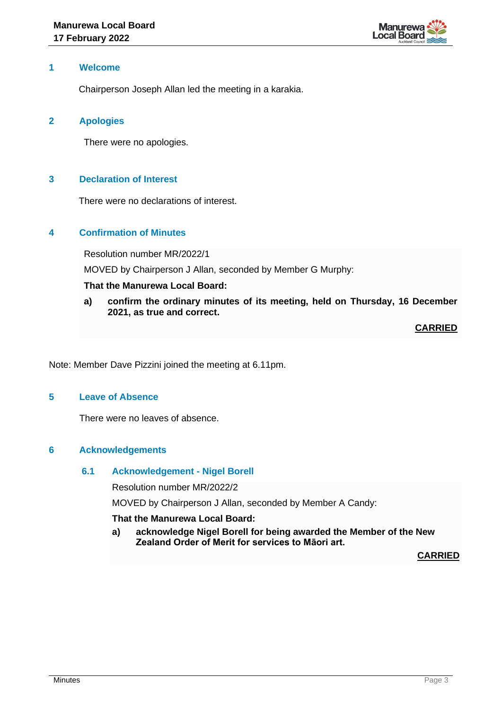

## **1 Welcome**

Chairperson Joseph Allan led the meeting in a karakia.

## **2 Apologies**

There were no apologies.

# **3 Declaration of Interest**

There were no declarations of interest.

# **4 Confirmation of Minutes**

Resolution number MR/2022/1

MOVED by Chairperson J Allan, seconded by Member G Murphy:

# **That the Manurewa Local Board:**

**a) confirm the ordinary minutes of its meeting, held on Thursday, 16 December 2021, as true and correct.**

**CARRIED**

Note: Member Dave Pizzini joined the meeting at 6.11pm.

# **5 Leave of Absence**

There were no leaves of absence.

# **6 Acknowledgements**

#### **6.1 Acknowledgement - Nigel Borell**

Resolution number MR/2022/2

MOVED by Chairperson J Allan, seconded by Member A Candy:

#### **That the Manurewa Local Board:**

**a) acknowledge Nigel Borell for being awarded the Member of the New Zealand Order of Merit for services to Māori art.**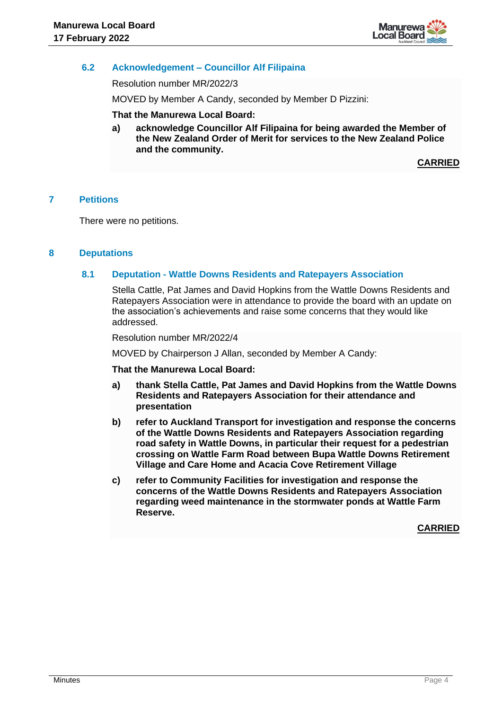

# **6.2 Acknowledgement – Councillor Alf Filipaina**

Resolution number MR/2022/3

MOVED by Member A Candy, seconded by Member D Pizzini:

#### **That the Manurewa Local Board:**

**a) acknowledge Councillor Alf Filipaina for being awarded the Member of the New Zealand Order of Merit for services to the New Zealand Police and the community.** 

**CARRIED**

## **7 Petitions**

There were no petitions.

## **8 Deputations**

## **8.1 Deputation - Wattle Downs Residents and Ratepayers Association**

Stella Cattle, Pat James and David Hopkins from the Wattle Downs Residents and Ratepayers Association were in attendance to provide the board with an update on the association's achievements and raise some concerns that they would like addressed.

Resolution number MR/2022/4

MOVED by Chairperson J Allan, seconded by Member A Candy:

#### **That the Manurewa Local Board:**

- **a) thank Stella Cattle, Pat James and David Hopkins from the Wattle Downs Residents and Ratepayers Association for their attendance and presentation**
- **b) refer to Auckland Transport for investigation and response the concerns of the Wattle Downs Residents and Ratepayers Association regarding road safety in Wattle Downs, in particular their request for a pedestrian crossing on Wattle Farm Road between Bupa Wattle Downs Retirement Village and Care Home and Acacia Cove Retirement Village**
- **c) refer to Community Facilities for investigation and response the concerns of the Wattle Downs Residents and Ratepayers Association regarding weed maintenance in the stormwater ponds at Wattle Farm Reserve.**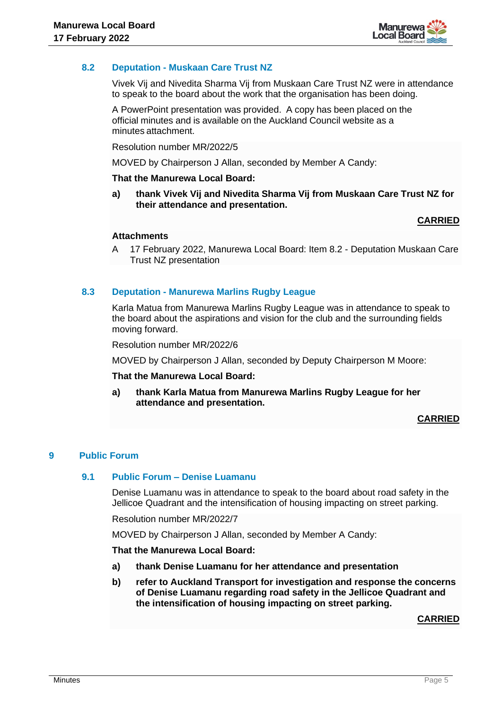

# **8.2 Deputation - Muskaan Care Trust NZ**

Vivek Vij and Nivedita Sharma Vij from Muskaan Care Trust NZ were in attendance to speak to the board about the work that the organisation has been doing.

A PowerPoint presentation was provided. A copy has been placed on the official minutes and is available on the Auckland Council website as a minutes attachment.

Resolution number MR/2022/5

MOVED by Chairperson J Allan, seconded by Member A Candy:

#### **That the Manurewa Local Board:**

**a) thank Vivek Vij and Nivedita Sharma Vij from Muskaan Care Trust NZ for their attendance and presentation.**

# **CARRIED**

## **Attachments**

A 17 February 2022, Manurewa Local Board: Item 8.2 - Deputation Muskaan Care Trust NZ presentation

## **8.3 Deputation - Manurewa Marlins Rugby League**

Karla Matua from Manurewa Marlins Rugby League was in attendance to speak to the board about the aspirations and vision for the club and the surrounding fields moving forward.

Resolution number MR/2022/6

MOVED by Chairperson J Allan, seconded by Deputy Chairperson M Moore:

#### **That the Manurewa Local Board:**

**a) thank Karla Matua from Manurewa Marlins Rugby League for her attendance and presentation.** 

#### **CARRIED**

#### **9 Public Forum**

#### **9.1 Public Forum – Denise Luamanu**

Denise Luamanu was in attendance to speak to the board about road safety in the Jellicoe Quadrant and the intensification of housing impacting on street parking.

Resolution number MR/2022/7

MOVED by Chairperson J Allan, seconded by Member A Candy:

#### **That the Manurewa Local Board:**

- **a) thank Denise Luamanu for her attendance and presentation**
- **b) refer to Auckland Transport for investigation and response the concerns of Denise Luamanu regarding road safety in the Jellicoe Quadrant and the intensification of housing impacting on street parking.**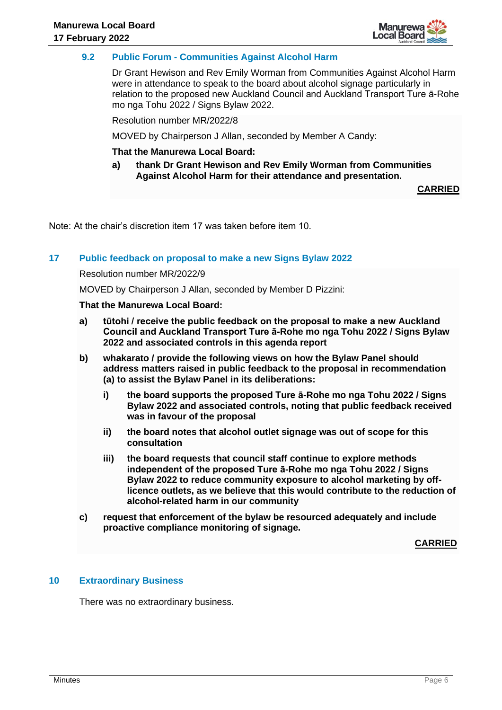

# **9.2 Public Forum - Communities Against Alcohol Harm**

Dr Grant Hewison and Rev Emily Worman from Communities Against Alcohol Harm were in attendance to speak to the board about alcohol signage particularly in relation to the proposed new Auckland Council and Auckland Transport Ture ā-Rohe mo nga Tohu 2022 / Signs Bylaw 2022.

Resolution number MR/2022/8

MOVED by Chairperson J Allan, seconded by Member A Candy:

#### **That the Manurewa Local Board:**

**a) thank Dr Grant Hewison and Rev Emily Worman from Communities Against Alcohol Harm for their attendance and presentation.** 

**CARRIED**

Note: At the chair's discretion item 17 was taken before item 10.

## **17 Public feedback on proposal to make a new Signs Bylaw 2022**

#### Resolution number MR/2022/9

MOVED by Chairperson J Allan, seconded by Member D Pizzini:

## **That the Manurewa Local Board:**

- **a) tūtohi / receive the public feedback on the proposal to make a new Auckland Council and Auckland Transport Ture ā-Rohe mo nga Tohu 2022 / Signs Bylaw 2022 and associated controls in this agenda report**
- **b) whakarato / provide the following views on how the Bylaw Panel should address matters raised in public feedback to the proposal in recommendation (a) to assist the Bylaw Panel in its deliberations:**
	- **i) the board supports the proposed Ture ā-Rohe mo nga Tohu 2022 / Signs Bylaw 2022 and associated controls, noting that public feedback received was in favour of the proposal**
	- **ii) the board notes that alcohol outlet signage was out of scope for this consultation**
	- **iii) the board requests that council staff continue to explore methods independent of the proposed Ture ā-Rohe mo nga Tohu 2022 / Signs Bylaw 2022 to reduce community exposure to alcohol marketing by offlicence outlets, as we believe that this would contribute to the reduction of alcohol-related harm in our community**
- **c) request that enforcement of the bylaw be resourced adequately and include proactive compliance monitoring of signage.**

**CARRIED**

#### **10 Extraordinary Business**

There was no extraordinary business.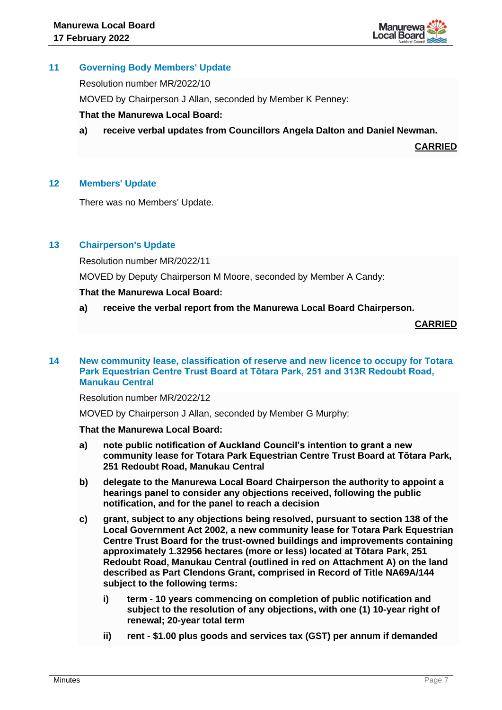

# **11 Governing Body Members' Update**

Resolution number MR/2022/10

MOVED by Chairperson J Allan, seconded by Member K Penney:

# **That the Manurewa Local Board:**

**a) receive verbal updates from Councillors Angela Dalton and Daniel Newman.**

**CARRIED**

# **12 Members' Update**

There was no Members' Update.

# **13 Chairperson's Update**

Resolution number MR/2022/11

MOVED by Deputy Chairperson M Moore, seconded by Member A Candy:

# **That the Manurewa Local Board:**

**a) receive the verbal report from the Manurewa Local Board Chairperson.**

**CARRIED**

#### **14 New community lease, classification of reserve and new licence to occupy for Totara Park Equestrian Centre Trust Board at Tōtara Park, 251 and 313R Redoubt Road, Manukau Central**

#### Resolution number MR/2022/12

MOVED by Chairperson J Allan, seconded by Member G Murphy:

#### **That the Manurewa Local Board:**

- **a) note public notification of Auckland Council's intention to grant a new community lease for Totara Park Equestrian Centre Trust Board at Tōtara Park, 251 Redoubt Road, Manukau Central**
- **b) delegate to the Manurewa Local Board Chairperson the authority to appoint a hearings panel to consider any objections received, following the public notification, and for the panel to reach a decision**
- **c) grant, subject to any objections being resolved, pursuant to section 138 of the Local Government Act 2002, a new community lease for Totara Park Equestrian Centre Trust Board for the trust-owned buildings and improvements containing approximately 1.32956 hectares (more or less) located at Tōtara Park, 251 Redoubt Road, Manukau Central (outlined in red on Attachment A) on the land described as Part Clendons Grant, comprised in Record of Title NA69A/144 subject to the following terms:**
	- **i) term - 10 years commencing on completion of public notification and subject to the resolution of any objections, with one (1) 10-year right of renewal; 20-year total term**
	- **ii) rent - \$1.00 plus goods and services tax (GST) per annum if demanded**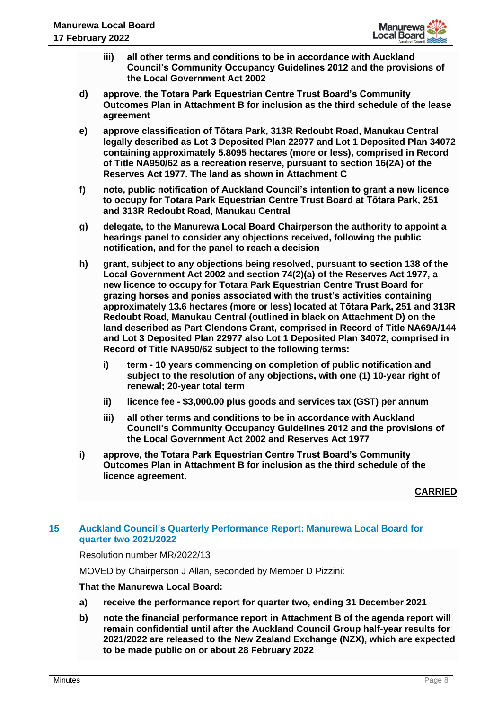

- **iii) all other terms and conditions to be in accordance with Auckland Council's Community Occupancy Guidelines 2012 and the provisions of the Local Government Act 2002**
- **d) approve, the Totara Park Equestrian Centre Trust Board's Community Outcomes Plan in Attachment B for inclusion as the third schedule of the lease agreement**
- **e) approve classification of Tōtara Park, 313R Redoubt Road, Manukau Central legally described as Lot 3 Deposited Plan 22977 and Lot 1 Deposited Plan 34072 containing approximately 5.8095 hectares (more or less), comprised in Record of Title NA950/62 as a recreation reserve, pursuant to section 16(2A) of the Reserves Act 1977. The land as shown in Attachment C**
- **f) note, public notification of Auckland Council's intention to grant a new licence to occupy for Totara Park Equestrian Centre Trust Board at Tōtara Park, 251 and 313R Redoubt Road, Manukau Central**
- **g) delegate, to the Manurewa Local Board Chairperson the authority to appoint a hearings panel to consider any objections received, following the public notification, and for the panel to reach a decision**
- **h) grant, subject to any objections being resolved, pursuant to section 138 of the Local Government Act 2002 and section 74(2)(a) of the Reserves Act 1977, a new licence to occupy for Totara Park Equestrian Centre Trust Board for grazing horses and ponies associated with the trust's activities containing approximately 13.6 hectares (more or less) located at Tōtara Park, 251 and 313R Redoubt Road, Manukau Central (outlined in black on Attachment D) on the land described as Part Clendons Grant, comprised in Record of Title NA69A/144 and Lot 3 Deposited Plan 22977 also Lot 1 Deposited Plan 34072, comprised in Record of Title NA950/62 subject to the following terms:**
	- **i) term - 10 years commencing on completion of public notification and subject to the resolution of any objections, with one (1) 10-year right of renewal; 20-year total term**
	- **ii) licence fee - \$3,000.00 plus goods and services tax (GST) per annum**
	- **iii) all other terms and conditions to be in accordance with Auckland Council's Community Occupancy Guidelines 2012 and the provisions of the Local Government Act 2002 and Reserves Act 1977**
- **i) approve, the Totara Park Equestrian Centre Trust Board's Community Outcomes Plan in Attachment B for inclusion as the third schedule of the licence agreement.**

#### **CARRIED**

# **15 Auckland Council's Quarterly Performance Report: Manurewa Local Board for quarter two 2021/2022**

Resolution number MR/2022/13

MOVED by Chairperson J Allan, seconded by Member D Pizzini:

#### **That the Manurewa Local Board:**

- **a) receive the performance report for quarter two, ending 31 December 2021**
- **b) note the financial performance report in Attachment B of the agenda report will remain confidential until after the Auckland Council Group half-year results for 2021/2022 are released to the New Zealand Exchange (NZX), which are expected to be made public on or about 28 February 2022**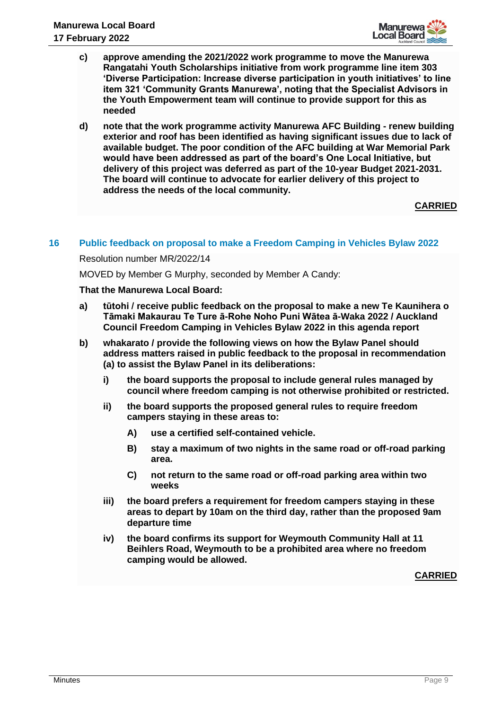

- **c) approve amending the 2021/2022 work programme to move the Manurewa Rangatahi Youth Scholarships initiative from work programme line item 303 'Diverse Participation: Increase diverse participation in youth initiatives' to line item 321 'Community Grants Manurewa', noting that the Specialist Advisors in the Youth Empowerment team will continue to provide support for this as needed**
- **d) note that the work programme activity Manurewa AFC Building - renew building exterior and roof has been identified as having significant issues due to lack of available budget. The poor condition of the AFC building at War Memorial Park would have been addressed as part of the board's One Local Initiative, but delivery of this project was deferred as part of the 10-year Budget 2021-2031. The board will continue to advocate for earlier delivery of this project to address the needs of the local community.**

**CARRIED**

## **16 Public feedback on proposal to make a Freedom Camping in Vehicles Bylaw 2022**

Resolution number MR/2022/14

MOVED by Member G Murphy, seconded by Member A Candy:

#### **That the Manurewa Local Board:**

- **a) tūtohi / receive public feedback on the proposal to make a new Te Kaunihera o Tāmaki Makaurau Te Ture ā-Rohe Noho Puni Wātea ā-Waka 2022 / Auckland Council Freedom Camping in Vehicles Bylaw 2022 in this agenda report**
- **b) whakarato / provide the following views on how the Bylaw Panel should address matters raised in public feedback to the proposal in recommendation (a) to assist the Bylaw Panel in its deliberations:**
	- **i) the board supports the proposal to include general rules managed by council where freedom camping is not otherwise prohibited or restricted.**
	- **ii) the board supports the proposed general rules to require freedom campers staying in these areas to:** 
		- **A) use a certified self-contained vehicle.**
		- **B) stay a maximum of two nights in the same road or off-road parking area.**
		- **C) not return to the same road or off-road parking area within two weeks**
	- **iii) the board prefers a requirement for freedom campers staying in these areas to depart by 10am on the third day, rather than the proposed 9am departure time**
	- **iv) the board confirms its support for Weymouth Community Hall at 11 Beihlers Road, Weymouth to be a prohibited area where no freedom camping would be allowed.**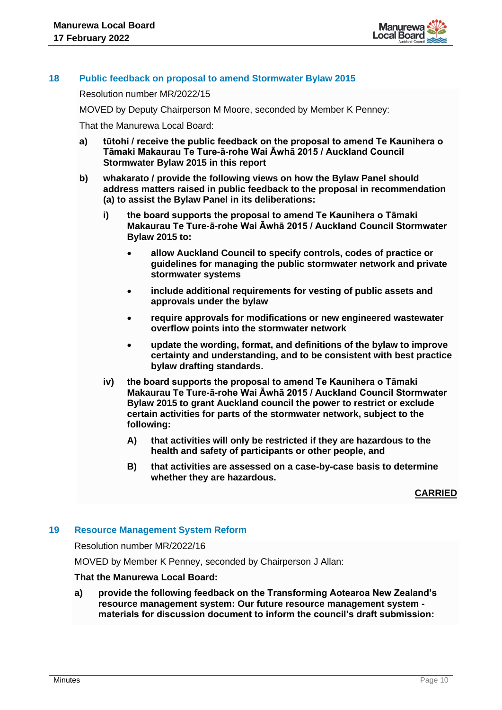

## **18 Public feedback on proposal to amend Stormwater Bylaw 2015**

Resolution number MR/2022/15

MOVED by Deputy Chairperson M Moore, seconded by Member K Penney:

That the Manurewa Local Board:

- **a) tūtohi / receive the public feedback on the proposal to amend Te Kaunihera o Tāmaki Makaurau Te Ture-ā-rohe Wai Āwhā 2015 / Auckland Council Stormwater Bylaw 2015 in this report**
- **b) whakarato / provide the following views on how the Bylaw Panel should address matters raised in public feedback to the proposal in recommendation (a) to assist the Bylaw Panel in its deliberations:**
	- **i) the board supports the proposal to amend Te Kaunihera o Tāmaki Makaurau Te Ture-ā-rohe Wai Āwhā 2015 / Auckland Council Stormwater Bylaw 2015 to:** 
		- **allow Auckland Council to specify controls, codes of practice or guidelines for managing the public stormwater network and private stormwater systems**
		- **include additional requirements for vesting of public assets and approvals under the bylaw**
		- **require approvals for modifications or new engineered wastewater overflow points into the stormwater network**
		- **update the wording, format, and definitions of the bylaw to improve certainty and understanding, and to be consistent with best practice bylaw drafting standards.**
	- **iv) the board supports the proposal to amend Te Kaunihera o Tāmaki Makaurau Te Ture-ā-rohe Wai Āwhā 2015 / Auckland Council Stormwater Bylaw 2015 to grant Auckland council the power to restrict or exclude certain activities for parts of the stormwater network, subject to the following:**
		- **A) that activities will only be restricted if they are hazardous to the health and safety of participants or other people, and**
		- **B) that activities are assessed on a case-by-case basis to determine whether they are hazardous.**

**CARRIED**

#### **19 Resource Management System Reform**

Resolution number MR/2022/16

MOVED by Member K Penney, seconded by Chairperson J Allan:

#### **That the Manurewa Local Board:**

**a) provide the following feedback on the Transforming Aotearoa New Zealand's resource management system: Our future resource management system materials for discussion document to inform the council's draft submission:**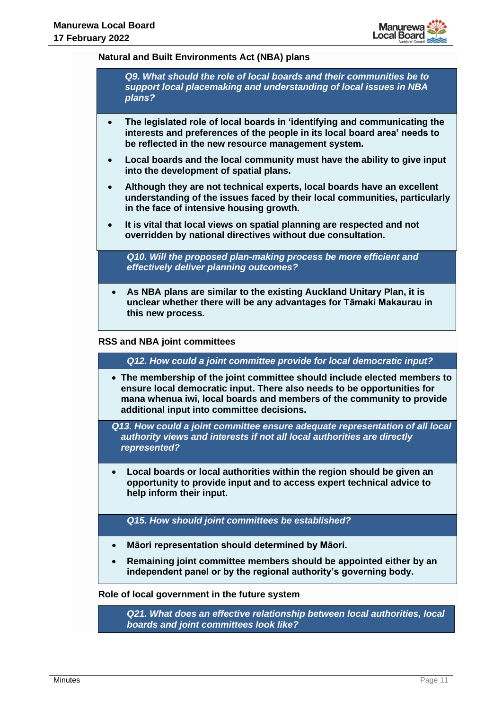

#### **Natural and Built Environments Act (NBA) plans**

*Q9. What should the role of local boards and their communities be to support local placemaking and understanding of local issues in NBA plans?* 

- **The legislated role of local boards in 'identifying and communicating the interests and preferences of the people in its local board area' needs to be reflected in the new resource management system.**
- **Local boards and the local community must have the ability to give input into the development of spatial plans.**
- **Although they are not technical experts, local boards have an excellent understanding of the issues faced by their local communities, particularly in the face of intensive housing growth.**
- **It is vital that local views on spatial planning are respected and not overridden by national directives without due consultation.**

*Q10. Will the proposed plan-making process be more efficient and effectively deliver planning outcomes?* 

• **As NBA plans are similar to the existing Auckland Unitary Plan, it is unclear whether there will be any advantages for Tāmaki Makaurau in this new process.** 

#### **RSS and NBA joint committees**

*Q12. How could a joint committee provide for local democratic input?*

• **The membership of the joint committee should include elected members to ensure local democratic input. There also needs to be opportunities for mana whenua iwi, local boards and members of the community to provide additional input into committee decisions.**

*Q13. How could a joint committee ensure adequate representation of all local authority views and interests if not all local authorities are directly represented?*

• **Local boards or local authorities within the region should be given an opportunity to provide input and to access expert technical advice to help inform their input.**

*Q15. How should joint committees be established?*

- **Māori representation should determined by Māori.**
- **Remaining joint committee members should be appointed either by an independent panel or by the regional authority's governing body.**

#### **Role of local government in the future system**

*Q21. What does an effective relationship between local authorities, local boards and joint committees look like?*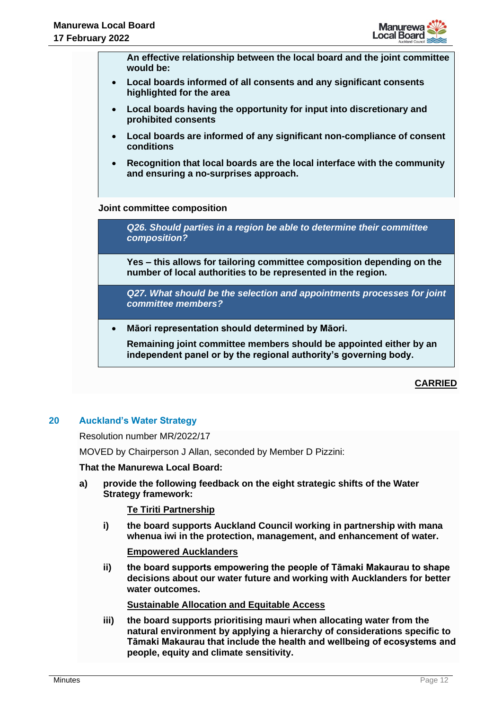

**An effective relationship between the local board and the joint committee would be:**

- **Local boards informed of all consents and any significant consents highlighted for the area**
- **Local boards having the opportunity for input into discretionary and prohibited consents**
- **Local boards are informed of any significant non-compliance of consent conditions**
- **Recognition that local boards are the local interface with the community and ensuring a no-surprises approach.**

# **Joint committee composition**

*Q26. Should parties in a region be able to determine their committee composition?*

**Yes – this allows for tailoring committee composition depending on the number of local authorities to be represented in the region.** 

*Q27. What should be the selection and appointments processes for joint committee members?*

• **Māori representation should determined by Māori.**

**Remaining joint committee members should be appointed either by an independent panel or by the regional authority's governing body.**

# **CARRIED**

# **20 Auckland's Water Strategy**

Resolution number MR/2022/17

MOVED by Chairperson J Allan, seconded by Member D Pizzini:

#### **That the Manurewa Local Board:**

**a) provide the following feedback on the eight strategic shifts of the Water Strategy framework:** 

#### **Te Tiriti Partnership**

**i) the board supports Auckland Council working in partnership with mana whenua iwi in the protection, management, and enhancement of water.** 

#### **Empowered Aucklanders**

**ii) the board supports empowering the people of Tāmaki Makaurau to shape decisions about our water future and working with Aucklanders for better water outcomes.** 

**Sustainable Allocation and Equitable Access**

**iii) the board supports prioritising mauri when allocating water from the natural environment by applying a hierarchy of considerations specific to Tāmaki Makaurau that include the health and wellbeing of ecosystems and people, equity and climate sensitivity.**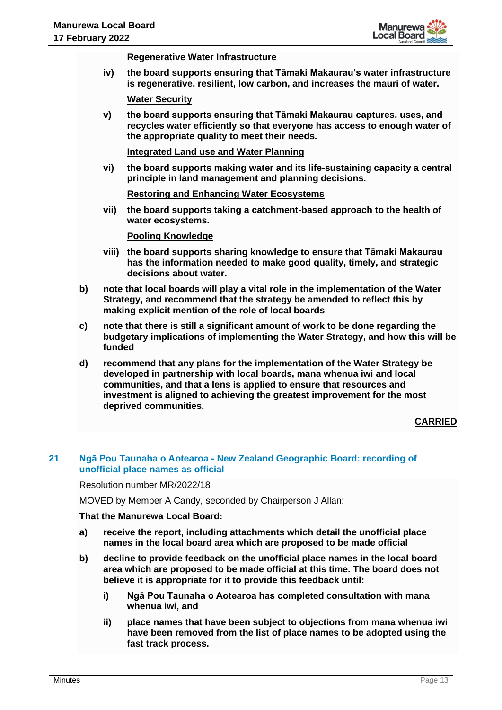

#### **Regenerative Water Infrastructure**

**iv) the board supports ensuring that Tāmaki Makaurau's water infrastructure is regenerative, resilient, low carbon, and increases the mauri of water.** 

**Water Security**

**v) the board supports ensuring that Tāmaki Makaurau captures, uses, and recycles water efficiently so that everyone has access to enough water of the appropriate quality to meet their needs.** 

**Integrated Land use and Water Planning**

**vi) the board supports making water and its life-sustaining capacity a central principle in land management and planning decisions.** 

**Restoring and Enhancing Water Ecosystems**

**vii) the board supports taking a catchment-based approach to the health of water ecosystems.** 

**Pooling Knowledge**

- **viii) the board supports sharing knowledge to ensure that Tāmaki Makaurau has the information needed to make good quality, timely, and strategic decisions about water.**
- **b) note that local boards will play a vital role in the implementation of the Water Strategy, and recommend that the strategy be amended to reflect this by making explicit mention of the role of local boards**
- **c) note that there is still a significant amount of work to be done regarding the budgetary implications of implementing the Water Strategy, and how this will be funded**
- **d) recommend that any plans for the implementation of the Water Strategy be developed in partnership with local boards, mana whenua iwi and local communities, and that a lens is applied to ensure that resources and investment is aligned to achieving the greatest improvement for the most deprived communities.**

# **CARRIED**

## **21 Ngā Pou Taunaha o Aotearoa - New Zealand Geographic Board: recording of unofficial place names as official**

Resolution number MR/2022/18

MOVED by Member A Candy, seconded by Chairperson J Allan:

**That the Manurewa Local Board:**

- **a) receive the report, including attachments which detail the unofficial place names in the local board area which are proposed to be made official**
- **b) decline to provide feedback on the unofficial place names in the local board area which are proposed to be made official at this time. The board does not believe it is appropriate for it to provide this feedback until:** 
	- **i) Ngā Pou Taunaha o Aotearoa has completed consultation with mana whenua iwi, and**
	- **ii) place names that have been subject to objections from mana whenua iwi have been removed from the list of place names to be adopted using the fast track process.**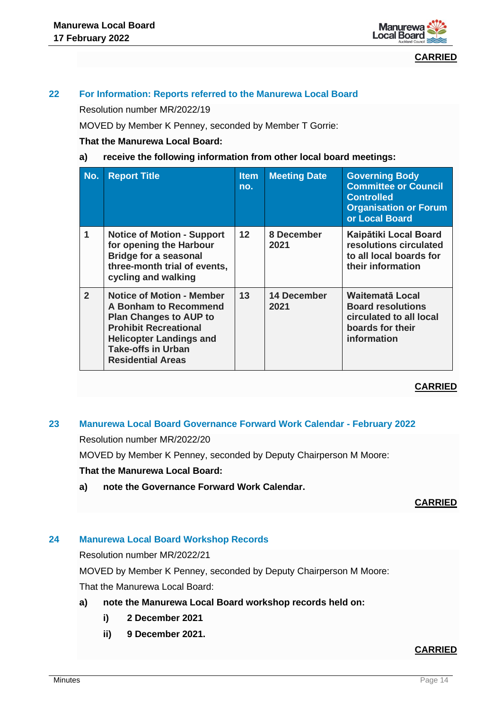

**CARRIED**

# **22 For Information: Reports referred to the Manurewa Local Board**

Resolution number MR/2022/19

MOVED by Member K Penney, seconded by Member T Gorrie:

## **That the Manurewa Local Board:**

## **a) receive the following information from other local board meetings:**

| No.            | <b>Report Title</b>                                                                                                                                                                                                   | <b>Item</b><br>no. | <b>Meeting Date</b> | <b>Governing Body</b><br><b>Committee or Council</b><br><b>Controlled</b><br><b>Organisation or Forum</b><br>or Local Board |
|----------------|-----------------------------------------------------------------------------------------------------------------------------------------------------------------------------------------------------------------------|--------------------|---------------------|-----------------------------------------------------------------------------------------------------------------------------|
| 1              | <b>Notice of Motion - Support</b><br>for opening the Harbour<br><b>Bridge for a seasonal</b><br>three-month trial of events,<br>cycling and walking                                                                   | $12 \overline{ }$  | 8 December<br>2021  | Kaipātiki Local Board<br>resolutions circulated<br>to all local boards for<br>their information                             |
| $\overline{2}$ | <b>Notice of Motion - Member</b><br>A Bonham to Recommend<br><b>Plan Changes to AUP to</b><br><b>Prohibit Recreational</b><br><b>Helicopter Landings and</b><br><b>Take-offs in Urban</b><br><b>Residential Areas</b> | 13                 | 14 December<br>2021 | Waitematā Local<br><b>Board resolutions</b><br>circulated to all local<br>boards for their<br>information                   |

# **CARRIED**

# **23 Manurewa Local Board Governance Forward Work Calendar - February 2022**

Resolution number MR/2022/20

MOVED by Member K Penney, seconded by Deputy Chairperson M Moore:

#### **That the Manurewa Local Board:**

**a) note the Governance Forward Work Calendar.**

**CARRIED**

# **24 Manurewa Local Board Workshop Records**

Resolution number MR/2022/21

MOVED by Member K Penney, seconded by Deputy Chairperson M Moore:

That the Manurewa Local Board:

- **a) note the Manurewa Local Board workshop records held on:**
	- **i) 2 December 2021**
	- **ii) 9 December 2021.**